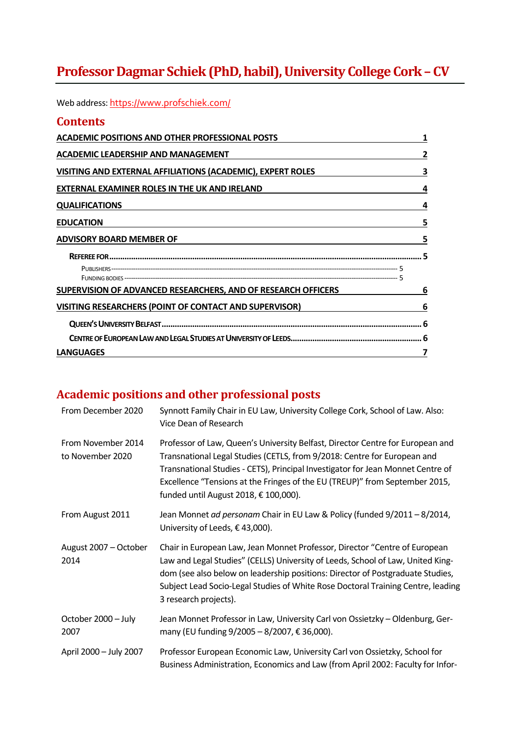# **Professor Dagmar Schiek (PhD, habil), University College Cork – CV**

Web address: https://www.profschiek.com/

| <b>Contents</b>                                                      |   |
|----------------------------------------------------------------------|---|
| <b>ACADEMIC POSITIONS AND OTHER PROFESSIONAL POSTS</b>               | 1 |
| ACADEMIC LEADERSHIP AND MANAGEMENT                                   | 2 |
| VISITING AND EXTERNAL AFFILIATIONS (ACADEMIC), EXPERT ROLES          | 3 |
| <b>EXTERNAL EXAMINER ROLES IN THE UK AND IRELAND</b>                 | 4 |
| <b>QUALIFICATIONS</b>                                                | 4 |
| <b>EDUCATION</b>                                                     | 5 |
| <b>ADVISORY BOARD MEMBER OF</b>                                      | 5 |
|                                                                      |   |
|                                                                      |   |
|                                                                      |   |
| <b>SUPERVISION OF ADVANCED RESEARCHERS, AND OF RESEARCH OFFICERS</b> | 6 |
| <b>VISITING RESEARCHERS (POINT OF CONTACT AND SUPERVISOR)</b>        | 6 |
|                                                                      |   |
|                                                                      |   |
| <b>LANGUAGES</b>                                                     |   |

# **Academic positions and other professional posts**

| From December 2020                     | Synnott Family Chair in EU Law, University College Cork, School of Law. Also:<br>Vice Dean of Research                                                                                                                                                                                                                                                                |  |
|----------------------------------------|-----------------------------------------------------------------------------------------------------------------------------------------------------------------------------------------------------------------------------------------------------------------------------------------------------------------------------------------------------------------------|--|
| From November 2014<br>to November 2020 | Professor of Law, Queen's University Belfast, Director Centre for European and<br>Transnational Legal Studies (CETLS, from 9/2018: Centre for European and<br>Transnational Studies - CETS), Principal Investigator for Jean Monnet Centre of<br>Excellence "Tensions at the Fringes of the EU (TREUP)" from September 2015,<br>funded until August 2018, € 100,000). |  |
| From August 2011                       | Jean Monnet ad personam Chair in EU Law & Policy (funded 9/2011 - 8/2014,<br>University of Leeds, €43,000).                                                                                                                                                                                                                                                           |  |
| August 2007 - October<br>2014          | Chair in European Law, Jean Monnet Professor, Director "Centre of European<br>Law and Legal Studies" (CELLS) University of Leeds, School of Law, United King-<br>dom (see also below on leadership positions: Director of Postgraduate Studies,<br>Subject Lead Socio-Legal Studies of White Rose Doctoral Training Centre, leading<br>3 research projects).          |  |
| October 2000 - July<br>2007            | Jean Monnet Professor in Law, University Carl von Ossietzky - Oldenburg, Ger-<br>many (EU funding $9/2005 - 8/2007$ , € 36,000).                                                                                                                                                                                                                                      |  |
| April 2000 - July 2007                 | Professor European Economic Law, University Carl von Ossietzky, School for<br>Business Administration, Economics and Law (from April 2002: Faculty for Infor-                                                                                                                                                                                                         |  |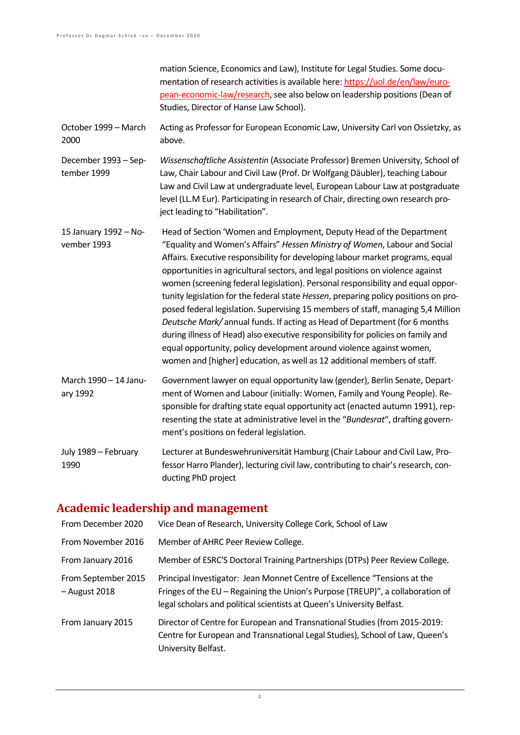mation Science, Economics and Law), Institute for Legal Studies. Some documentation of research activities is available here: https://uol.de/en/law/european-economic-law/research, see also below on leadership positions (Dean of Studies, Director of Hanse Law School).

October 1999 – March 2000 Acting as Professor for European Economic Law, University Carl von Ossietzky, as above.

December 1993 – September 1999 *Wissenschaftliche Assistentin* (Associate Professor) Bremen University, School of Law, Chair Labour and Civil Law (Prof. Dr Wolfgang Däubler), teaching Labour Law and Civil Law at undergraduate level, European Labour Law at postgraduate level (LL.M Eur). Participating in research of Chair, directing own research project leading to "Habilitation".

15 January 1992 – November 1993 Head of Section 'Women and Employment, Deputy Head of the Department "Equality and Women's Affairs" *Hessen Ministry of Women*, Labour and Social Affairs. Executive responsibility for developing labour market programs, equal opportunities in agricultural sectors, and legal positions on violence against women (screening federal legislation). Personal responsibility and equal opportunity legislation for the federal state *Hessen*, preparing policy positions on proposed federal legislation. Supervising 15 members of staff, managing 5,4 Million *Deutsche Mark/* annual funds. If acting as Head of Department (for 6 months during illness of Head) also executive responsibility for policies on family and equal opportunity, policy development around violence against women, women and [higher] education, as well as 12 additional members of staff.

March 1990 – 14 January 1992 Government lawyer on equal opportunity law (gender), Berlin Senate, Department of Women and Labour (initially: Women, Family and Young People). Responsible for drafting state equal opportunity act (enacted autumn 1991), representing the state at administrative level in the "*Bundesrat*", drafting government's positions on federal legislation.

July 1989 – February 1990 Lecturer at Bundeswehruniversität Hamburg (Chair Labour and Civil Law, Professor Harro Plander), lecturing civil law, contributing to chair's research, conducting PhD project

#### **Academic leadership and management**

| From December 2020                   | Vice Dean of Research, University College Cork, School of Law                                                                                                                                                                         |  |
|--------------------------------------|---------------------------------------------------------------------------------------------------------------------------------------------------------------------------------------------------------------------------------------|--|
| From November 2016                   | Member of AHRC Peer Review College.                                                                                                                                                                                                   |  |
| From January 2016                    | Member of ESRC'S Doctoral Training Partnerships (DTPs) Peer Review College.                                                                                                                                                           |  |
| From September 2015<br>- August 2018 | Principal Investigator: Jean Monnet Centre of Excellence "Tensions at the<br>Fringes of the EU - Regaining the Union's Purpose (TREUP)", a collaboration of<br>legal scholars and political scientists at Queen's University Belfast. |  |
| From January 2015                    | Director of Centre for European and Transnational Studies (from 2015-2019:<br>Centre for European and Transnational Legal Studies), School of Law, Queen's<br>University Belfast.                                                     |  |

 $\overline{2}$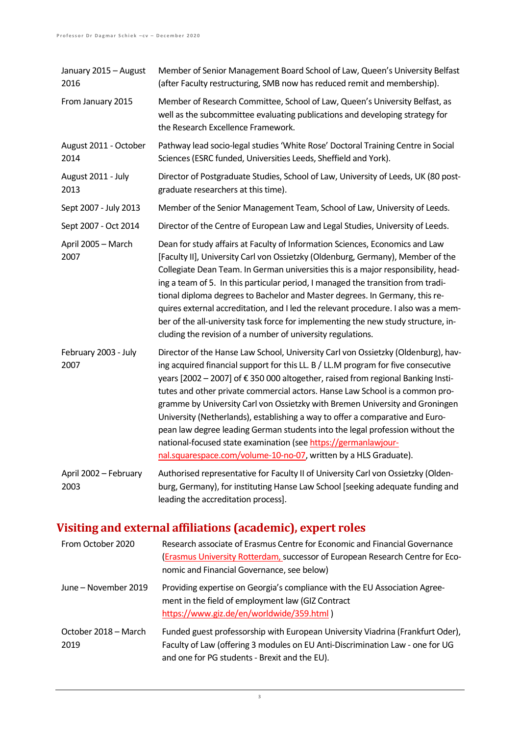| January 2015 - August<br>2016 | Member of Senior Management Board School of Law, Queen's University Belfast<br>(after Faculty restructuring, SMB now has reduced remit and membership).                                                                                                                                                                                                                                                                                                                                                                                                                                                                                                                                                                           |  |
|-------------------------------|-----------------------------------------------------------------------------------------------------------------------------------------------------------------------------------------------------------------------------------------------------------------------------------------------------------------------------------------------------------------------------------------------------------------------------------------------------------------------------------------------------------------------------------------------------------------------------------------------------------------------------------------------------------------------------------------------------------------------------------|--|
| From January 2015             | Member of Research Committee, School of Law, Queen's University Belfast, as<br>well as the subcommittee evaluating publications and developing strategy for<br>the Research Excellence Framework.                                                                                                                                                                                                                                                                                                                                                                                                                                                                                                                                 |  |
| August 2011 - October<br>2014 | Pathway lead socio-legal studies 'White Rose' Doctoral Training Centre in Social<br>Sciences (ESRC funded, Universities Leeds, Sheffield and York).                                                                                                                                                                                                                                                                                                                                                                                                                                                                                                                                                                               |  |
| August 2011 - July<br>2013    | Director of Postgraduate Studies, School of Law, University of Leeds, UK (80 post-<br>graduate researchers at this time).                                                                                                                                                                                                                                                                                                                                                                                                                                                                                                                                                                                                         |  |
| Sept 2007 - July 2013         | Member of the Senior Management Team, School of Law, University of Leeds.                                                                                                                                                                                                                                                                                                                                                                                                                                                                                                                                                                                                                                                         |  |
| Sept 2007 - Oct 2014          | Director of the Centre of European Law and Legal Studies, University of Leeds.                                                                                                                                                                                                                                                                                                                                                                                                                                                                                                                                                                                                                                                    |  |
| April 2005 - March<br>2007    | Dean for study affairs at Faculty of Information Sciences, Economics and Law<br>[Faculty II], University Carl von Ossietzky (Oldenburg, Germany), Member of the<br>Collegiate Dean Team. In German universities this is a major responsibility, head-<br>ing a team of 5. In this particular period, I managed the transition from tradi-<br>tional diploma degrees to Bachelor and Master degrees. In Germany, this re-<br>quires external accreditation, and I led the relevant procedure. I also was a mem-<br>ber of the all-university task force for implementing the new study structure, in-<br>cluding the revision of a number of university regulations.                                                               |  |
| February 2003 - July<br>2007  | Director of the Hanse Law School, University Carl von Ossietzky (Oldenburg), hav-<br>ing acquired financial support for this LL. B / LL.M program for five consecutive<br>years [2002 - 2007] of €350 000 altogether, raised from regional Banking Insti-<br>tutes and other private commercial actors. Hanse Law School is a common pro-<br>gramme by University Carl von Ossietzky with Bremen University and Groningen<br>University (Netherlands), establishing a way to offer a comparative and Euro-<br>pean law degree leading German students into the legal profession without the<br>national-focused state examination (see https://germanlawjour-<br>nal.squarespace.com/volume-10-no-07, written by a HLS Graduate). |  |
| April 2002 - February<br>2003 | Authorised representative for Faculty II of University Carl von Ossietzky (Olden-<br>burg, Germany), for instituting Hanse Law School [seeking adequate funding and<br>leading the accreditation process].                                                                                                                                                                                                                                                                                                                                                                                                                                                                                                                        |  |

# **Visiting and external affiliations (academic), expert roles**

| From October 2020            | Research associate of Erasmus Centre for Economic and Financial Governance<br>(Erasmus University Rotterdam, successor of European Research Centre for Eco-<br>nomic and Financial Governance, see below)        |
|------------------------------|------------------------------------------------------------------------------------------------------------------------------------------------------------------------------------------------------------------|
| June – November 2019         | Providing expertise on Georgia's compliance with the EU Association Agree-<br>ment in the field of employment law (GIZ Contract<br>https://www.giz.de/en/worldwide/359.html)                                     |
| October 2018 – March<br>2019 | Funded guest professorship with European University Viadrina (Frankfurt Oder),<br>Faculty of Law (offering 3 modules on EU Anti-Discrimination Law - one for UG<br>and one for PG students - Brexit and the EU). |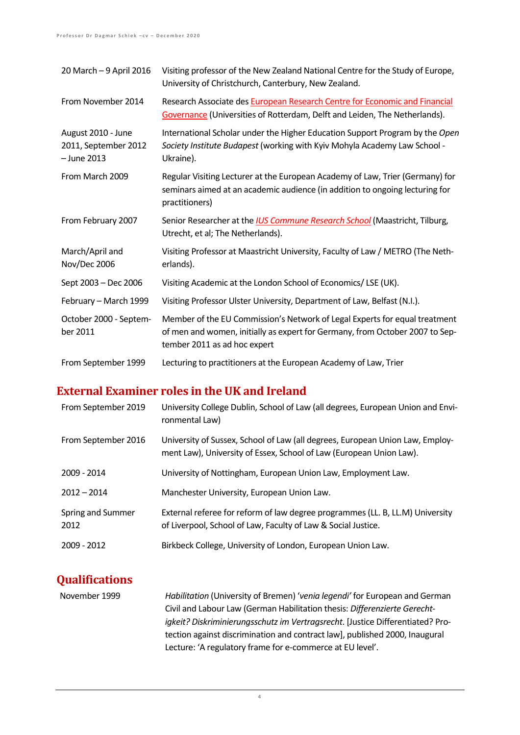| 20 March - 9 April 2016                                     | Visiting professor of the New Zealand National Centre for the Study of Europe,<br>University of Christchurch, Canterbury, New Zealand.                                                     |  |
|-------------------------------------------------------------|--------------------------------------------------------------------------------------------------------------------------------------------------------------------------------------------|--|
| From November 2014                                          | Research Associate des European Research Centre for Economic and Financial<br>Governance (Universities of Rotterdam, Delft and Leiden, The Netherlands).                                   |  |
| August 2010 - June<br>2011, September 2012<br>$-$ June 2013 | International Scholar under the Higher Education Support Program by the Open<br>Society Institute Budapest (working with Kyiv Mohyla Academy Law School -<br>Ukraine).                     |  |
| From March 2009                                             | Regular Visiting Lecturer at the European Academy of Law, Trier (Germany) for<br>seminars aimed at an academic audience (in addition to ongoing lecturing for<br>practitioners)            |  |
| From February 2007                                          | Senior Researcher at the <i>IUS Commune Research School</i> (Maastricht, Tilburg,<br>Utrecht, et al; The Netherlands).                                                                     |  |
| March/April and<br>Nov/Dec 2006                             | Visiting Professor at Maastricht University, Faculty of Law / METRO (The Neth-<br>erlands).                                                                                                |  |
| Sept 2003 - Dec 2006                                        | Visiting Academic at the London School of Economics/LSE (UK).                                                                                                                              |  |
| February - March 1999                                       | Visiting Professor Ulster University, Department of Law, Belfast (N.I.).                                                                                                                   |  |
| October 2000 - Septem-<br>ber 2011                          | Member of the EU Commission's Network of Legal Experts for equal treatment<br>of men and women, initially as expert for Germany, from October 2007 to Sep-<br>tember 2011 as ad hoc expert |  |
| From September 1999                                         | Lecturing to practitioners at the European Academy of Law, Trier                                                                                                                           |  |

### **External Examiner roles in the UK and Ireland**

| From September 2019       | University College Dublin, School of Law (all degrees, European Union and Envi-<br>ronmental Law)                                                    |  |
|---------------------------|------------------------------------------------------------------------------------------------------------------------------------------------------|--|
| From September 2016       | University of Sussex, School of Law (all degrees, European Union Law, Employ-<br>ment Law), University of Essex, School of Law (European Union Law). |  |
| 2009 - 2014               | University of Nottingham, European Union Law, Employment Law.                                                                                        |  |
| $2012 - 2014$             | Manchester University, European Union Law.                                                                                                           |  |
| Spring and Summer<br>2012 | External referee for reform of law degree programmes (LL. B, LL.M) University<br>of Liverpool, School of Law, Faculty of Law & Social Justice.       |  |
| 2009 - 2012               | Birkbeck College, University of London, European Union Law.                                                                                          |  |

## **Qualifications**

November 1999 *Habilitation* (University of Bremen) '*venia legendi'* for European and German Civil and Labour Law (German Habilitation thesis: *Differenzierte Gerechtigkeit? Diskriminierungsschutz im Vertragsrecht*. [Justice Differentiated? Protection against discrimination and contract law], published 2000, Inaugural Lecture: 'A regulatory frame for e-commerce at EU level'.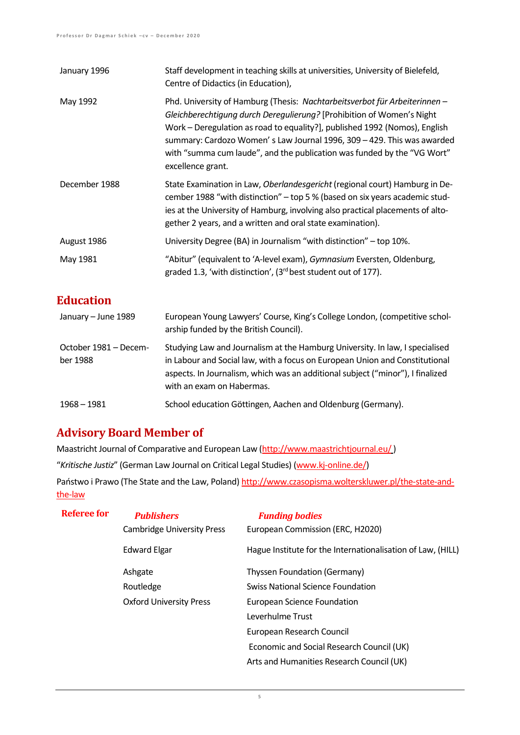| January 1996                      | Staff development in teaching skills at universities, University of Bielefeld,<br>Centre of Didactics (in Education),                                                                                                                                                                                                                                                                                       |  |
|-----------------------------------|-------------------------------------------------------------------------------------------------------------------------------------------------------------------------------------------------------------------------------------------------------------------------------------------------------------------------------------------------------------------------------------------------------------|--|
| May 1992                          | Phd. University of Hamburg (Thesis: Nachtarbeitsverbot für Arbeiterinnen -<br>Gleichberechtigung durch Deregulierung? [Prohibition of Women's Night<br>Work - Deregulation as road to equality?], published 1992 (Nomos), English<br>summary: Cardozo Women's Law Journal 1996, 309 - 429. This was awarded<br>with "summa cum laude", and the publication was funded by the "VG Wort"<br>excellence grant. |  |
| December 1988                     | State Examination in Law, Oberlandesgericht (regional court) Hamburg in De-<br>cember 1988 "with distinction" - top 5 % (based on six years academic stud-<br>ies at the University of Hamburg, involving also practical placements of alto-<br>gether 2 years, and a written and oral state examination).                                                                                                  |  |
| August 1986                       | University Degree (BA) in Journalism "with distinction" - top 10%.                                                                                                                                                                                                                                                                                                                                          |  |
| May 1981                          | "Abitur" (equivalent to 'A-level exam), Gymnasium Eversten, Oldenburg,<br>graded 1.3, 'with distinction', (3rd best student out of 177).                                                                                                                                                                                                                                                                    |  |
| <b>Education</b>                  |                                                                                                                                                                                                                                                                                                                                                                                                             |  |
| January - June 1989               | European Young Lawyers' Course, King's College London, (competitive schol-<br>arship funded by the British Council).                                                                                                                                                                                                                                                                                        |  |
| October 1981 - Decem-<br>ber 1988 | Studying Law and Journalism at the Hamburg University. In law, I specialised<br>in Labour and Social law, with a focus on European Union and Constitutional<br>aspects. In Journalism, which was an additional subject ("minor"), I finalized<br>with an exam on Habermas.                                                                                                                                  |  |
| $1968 - 1981$                     | School education Göttingen, Aachen and Oldenburg (Germany).                                                                                                                                                                                                                                                                                                                                                 |  |

### **Advisory Board Member of**

Maastricht Journal of Comparative and European Law (http://www.maastrichtjournal.eu/) "*Kritische Justiz*" (German Law Journal on Critical Legal Studies) (www.kj-online.de/) Państwo i Prawo (The State and the Law, Poland) http://www.czasopisma.wolterskluwer.pl/the-state-andthe-law

| <b>Referee for</b> | <b>Publishers</b>                 | <b>Funding bodies</b>                                       |
|--------------------|-----------------------------------|-------------------------------------------------------------|
|                    | <b>Cambridge University Press</b> | European Commission (ERC, H2020)                            |
|                    | <b>Edward Elgar</b>               | Hague Institute for the Internationalisation of Law, (HILL) |
|                    | Ashgate                           | Thyssen Foundation (Germany)                                |
|                    | Routledge                         | <b>Swiss National Science Foundation</b>                    |
|                    | <b>Oxford University Press</b>    | European Science Foundation                                 |
|                    |                                   | Leverhulme Trust                                            |
|                    |                                   | European Research Council                                   |
|                    |                                   | Economic and Social Research Council (UK)                   |
|                    |                                   | Arts and Humanities Research Council (UK)                   |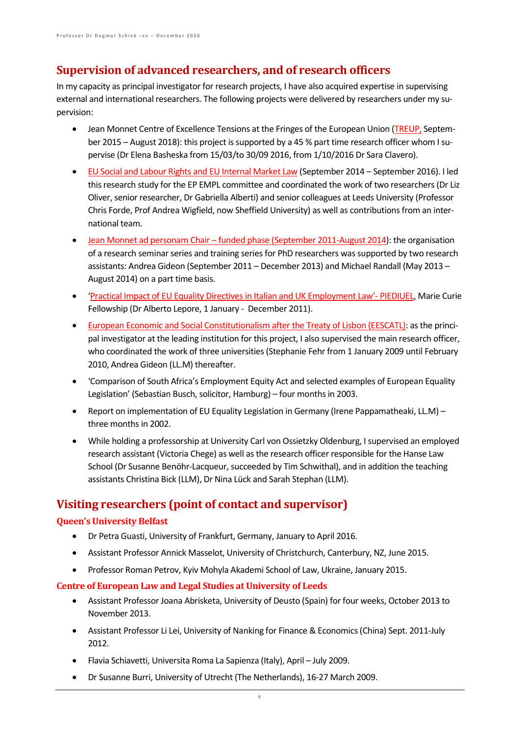## **Supervision of advanced researchers, and of research officers**

In my capacity as principal investigator for research projects, I have also acquired expertise in supervising external and international researchers. The following projects were delivered by researchers under my supervision:

- Jean Monnet Centre of Excellence Tensions at the Fringes of the European Union (TREUP, September 2015 – August 2018): this project is supported by a 45 % part time research officer whom I supervise (Dr Elena Basheska from 15/03/to 30/09 2016, from 1/10/2016 Dr Sara Clavero).
- EU Social and Labour Rights and EU Internal Market Law (September 2014 September 2016). I led this research study for the EP EMPL committee and coordinated the work of two researchers (Dr Liz Oliver, senior researcher, Dr Gabriella Alberti) and senior colleagues at Leeds University (Professor Chris Forde, Prof Andrea Wigfield, now Sheffield University) as well as contributions from an international team.
- Jean Monnet ad personam Chair funded phase (September 2011-August 2014): the organisation of a research seminar series and training series for PhD researchers was supported by two research assistants: Andrea Gideon (September 2011 – December 2013) and Michael Randall (May 2013 – August 2014) on a part time basis.
- 'Practical Impact of EU Equality Directives in Italian and UK Employment Law'- PIEDIUEL, Marie Curie Fellowship (Dr Alberto Lepore, 1 January - December 2011).
- European Economic and Social Constitutionalism after the Treaty of Lisbon (EESCATL): as the principal investigator at the leading institution for this project, I also supervised the main research officer, who coordinated the work of three universities (Stephanie Fehr from 1 January 2009 until February 2010, Andrea Gideon (LL.M) thereafter.
- 'Comparison of South Africa's Employment Equity Act and selected examples of European Equality Legislation' (Sebastian Busch, solicitor, Hamburg) – four months in 2003.
- Report on implementation of EU Equality Legislation in Germany (Irene Pappamatheaki, LL.M) three months in 2002.
- While holding a professorship at University Carl von Ossietzky Oldenburg, I supervised an employed research assistant (Victoria Chege) as well as the research officer responsible for the Hanse Law School (Dr Susanne Benöhr-Lacqueur, succeeded by Tim Schwithal), and in addition the teaching assistants Christina Bick (LLM), Dr Nina Lück and Sarah Stephan (LLM).

## **Visiting researchers (point of contact and supervisor)**

#### **Queen's University Belfast**

- Dr Petra Guasti, University of Frankfurt, Germany, January to April 2016.
- Assistant Professor Annick Masselot, University of Christchurch, Canterbury, NZ, June 2015.
- Professor Roman Petrov, Kyiv Mohyla Akademi School of Law, Ukraine, January 2015.

#### **Centre of European Law and Legal Studies at University of Leeds**

- Assistant Professor Joana Abrisketa, University of Deusto (Spain) for four weeks, October 2013 to November 2013.
- Assistant Professor Li Lei, University of Nanking for Finance & Economics (China) Sept. 2011-July 2012.
- Flavia Schiavetti, Universita Roma La Sapienza (Italy), April July 2009.
- Dr Susanne Burri, University of Utrecht (The Netherlands), 16-27 March 2009.